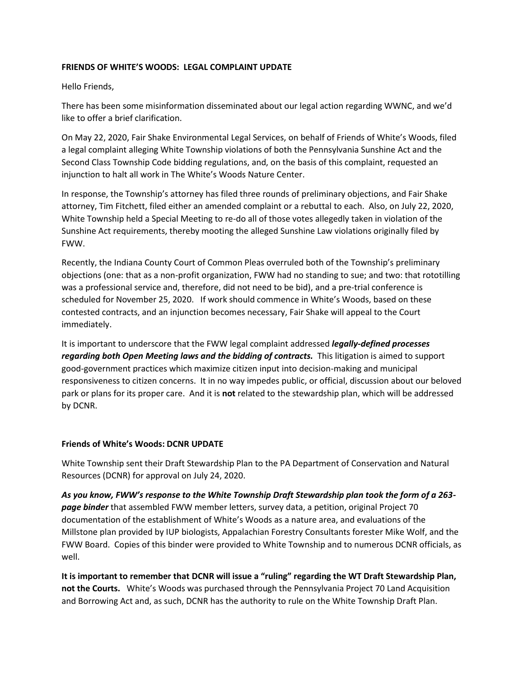## **FRIENDS OF WHITE'S WOODS: LEGAL COMPLAINT UPDATE**

Hello Friends,

There has been some misinformation disseminated about our legal action regarding WWNC, and we'd like to offer a brief clarification.

On May 22, 2020, Fair Shake Environmental Legal Services, on behalf of Friends of White's Woods, filed a legal complaint alleging White Township violations of both the Pennsylvania Sunshine Act and the Second Class Township Code bidding regulations, and, on the basis of this complaint, requested an injunction to halt all work in The White's Woods Nature Center.

In response, the Township's attorney has filed three rounds of preliminary objections, and Fair Shake attorney, Tim Fitchett, filed either an amended complaint or a rebuttal to each. Also, on July 22, 2020, White Township held a Special Meeting to re-do all of those votes allegedly taken in violation of the Sunshine Act requirements, thereby mooting the alleged Sunshine Law violations originally filed by FWW.

Recently, the Indiana County Court of Common Pleas overruled both of the Township's preliminary objections (one: that as a non-profit organization, FWW had no standing to sue; and two: that rototilling was a professional service and, therefore, did not need to be bid), and a pre-trial conference is scheduled for November 25, 2020. If work should commence in White's Woods, based on these contested contracts, and an injunction becomes necessary, Fair Shake will appeal to the Court immediately.

It is important to underscore that the FWW legal complaint addressed *legally-defined processes regarding both Open Meeting laws and the bidding of contracts.* This litigation is aimed to support good-government practices which maximize citizen input into decision-making and municipal responsiveness to citizen concerns. It in no way impedes public, or official, discussion about our beloved park or plans for its proper care. And it is **not** related to the stewardship plan, which will be addressed by DCNR.

## **Friends of White's Woods: DCNR UPDATE**

White Township sent their Draft Stewardship Plan to the PA Department of Conservation and Natural Resources (DCNR) for approval on July 24, 2020.

*As you know, FWW's response to the White Township Draft Stewardship plan took the form of a 263 page binder* that assembled FWW member letters, survey data, a petition, original Project 70 documentation of the establishment of White's Woods as a nature area, and evaluations of the Millstone plan provided by IUP biologists, Appalachian Forestry Consultants forester Mike Wolf, and the FWW Board. Copies of this binder were provided to White Township and to numerous DCNR officials, as well.

**It is important to remember that DCNR will issue a "ruling" regarding the WT Draft Stewardship Plan, not the Courts.** White's Woods was purchased through the Pennsylvania Project 70 Land Acquisition and Borrowing Act and, as such, DCNR has the authority to rule on the White Township Draft Plan.